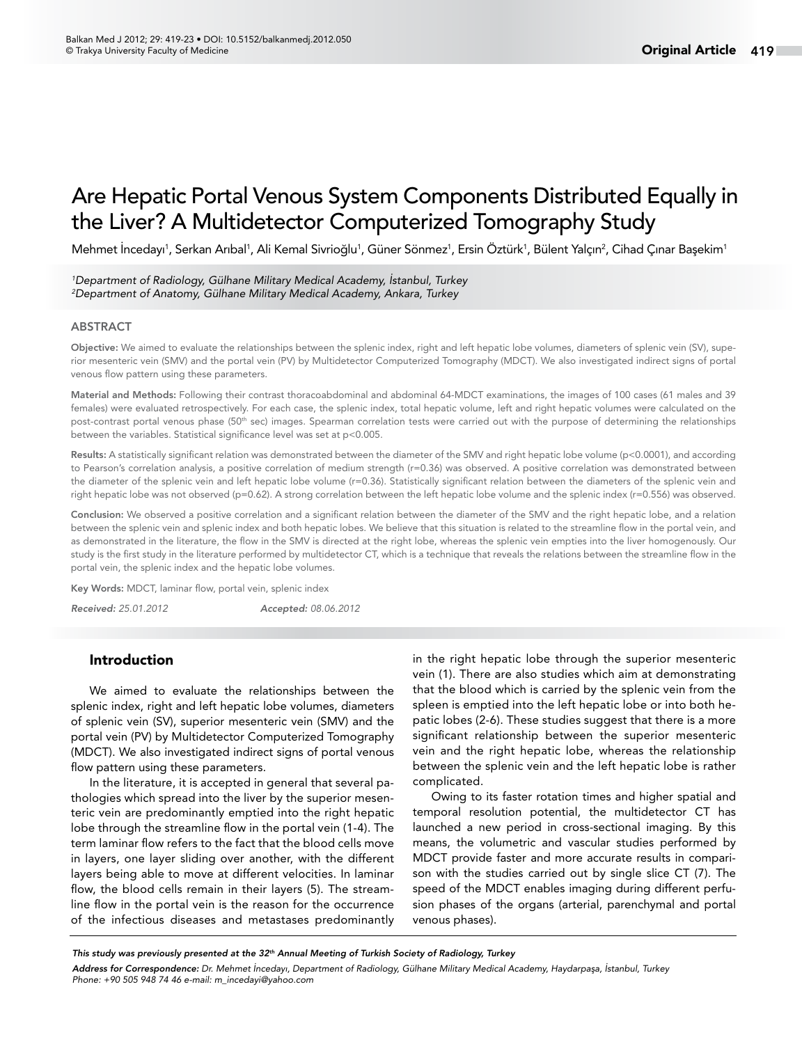# Are Hepatic Portal Venous System Components Distributed Equally in the Liver? A Multidetector Computerized Tomography Study

Mehmet Incedayı<sup>1</sup>, Serkan Arıbal<sup>1</sup>, Ali Kemal Sivrioğlu<sup>1</sup>, Güner Sönmez<sup>1</sup>, Ersin Öztürk<sup>1</sup>, Bülent Yalçın<sup>2</sup>, Cihad Çınar Başekim<sup>1</sup>

*1 Department of Radiology, Gülhane Military Medical Academy, İstanbul, Turkey 2 Department of Anatomy, Gülhane Military Medical Academy, Ankara, Turkey*

#### ABSTRACT

Objective: We aimed to evaluate the relationships between the splenic index, right and left hepatic lobe volumes, diameters of splenic vein (SV), superior mesenteric vein (SMV) and the portal vein (PV) by Multidetector Computerized Tomography (MDCT). We also investigated indirect signs of portal venous flow pattern using these parameters.

Material and Methods: Following their contrast thoracoabdominal and abdominal 64-MDCT examinations, the images of 100 cases (61 males and 39 females) were evaluated retrospectively. For each case, the splenic index, total hepatic volume, left and right hepatic volumes were calculated on the post-contrast portal venous phase (50<sup>th</sup> sec) images. Spearman correlation tests were carried out with the purpose of determining the relationships between the variables. Statistical significance level was set at p<0.005.

Results: A statistically significant relation was demonstrated between the diameter of the SMV and right hepatic lobe volume (p<0.0001), and according to Pearson's correlation analysis, a positive correlation of medium strength (r=0.36) was observed. A positive correlation was demonstrated between the diameter of the splenic vein and left hepatic lobe volume (r=0.36). Statistically significant relation between the diameters of the splenic vein and right hepatic lobe was not observed (p=0.62). A strong correlation between the left hepatic lobe volume and the splenic index (r=0.556) was observed.

Conclusion: We observed a positive correlation and a significant relation between the diameter of the SMV and the right hepatic lobe, and a relation between the splenic vein and splenic index and both hepatic lobes. We believe that this situation is related to the streamline flow in the portal vein, and as demonstrated in the literature, the flow in the SMV is directed at the right lobe, whereas the splenic vein empties into the liver homogenously. Our study is the first study in the literature performed by multidetector CT, which is a technique that reveals the relations between the streamline flow in the portal vein, the splenic index and the hepatic lobe volumes.

Key Words: MDCT, laminar flow, portal vein, splenic index

*Received: 25.01.2012 Accepted: 08.06.2012*

## Introduction

We aimed to evaluate the relationships between the splenic index, right and left hepatic lobe volumes, diameters of splenic vein (SV), superior mesenteric vein (SMV) and the portal vein (PV) by Multidetector Computerized Tomography (MDCT). We also investigated indirect signs of portal venous flow pattern using these parameters.

In the literature, it is accepted in general that several pathologies which spread into the liver by the superior mesenteric vein are predominantly emptied into the right hepatic lobe through the streamline flow in the portal vein (1-4). The term laminar flow refers to the fact that the blood cells move in layers, one layer sliding over another, with the different layers being able to move at different velocities. In laminar flow, the blood cells remain in their layers (5). The streamline flow in the portal vein is the reason for the occurrence of the infectious diseases and metastases predominantly in the right hepatic lobe through the superior mesenteric vein (1). There are also studies which aim at demonstrating that the blood which is carried by the splenic vein from the spleen is emptied into the left hepatic lobe or into both hepatic lobes (2-6). These studies suggest that there is a more significant relationship between the superior mesenteric vein and the right hepatic lobe, whereas the relationship between the splenic vein and the left hepatic lobe is rather complicated.

Owing to its faster rotation times and higher spatial and temporal resolution potential, the multidetector CT has launched a new period in cross-sectional imaging. By this means, the volumetric and vascular studies performed by MDCT provide faster and more accurate results in comparison with the studies carried out by single slice CT (7). The speed of the MDCT enables imaging during different perfusion phases of the organs (arterial, parenchymal and portal venous phases).

*This study was previously presented at the 32th Annual Meeting of Turkish Society of Radiology, Turkey*

*Address for Correspondence: Dr. Mehmet İncedayı, Department of Radiology, Gülhane Military Medical Academy, Haydarpaşa, İstanbul, Turkey Phone: +90 505 948 74 46 e-mail: m\_incedayi@yahoo.com*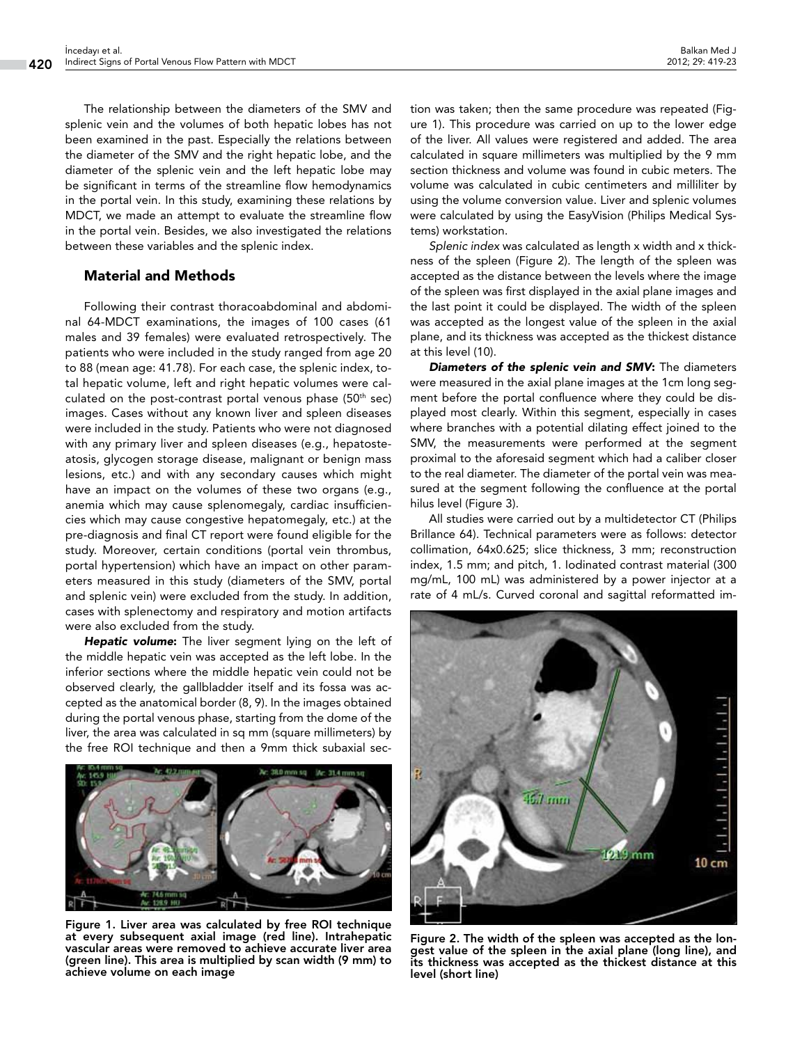The relationship between the diameters of the SMV and splenic vein and the volumes of both hepatic lobes has not been examined in the past. Especially the relations between the diameter of the SMV and the right hepatic lobe, and the diameter of the splenic vein and the left hepatic lobe may be significant in terms of the streamline flow hemodynamics in the portal vein. In this study, examining these relations by MDCT, we made an attempt to evaluate the streamline flow in the portal vein. Besides, we also investigated the relations between these variables and the splenic index.

## Material and Methods

Following their contrast thoracoabdominal and abdominal 64-MDCT examinations, the images of 100 cases (61 males and 39 females) were evaluated retrospectively. The patients who were included in the study ranged from age 20 to 88 (mean age: 41.78). For each case, the splenic index, total hepatic volume, left and right hepatic volumes were calculated on the post-contrast portal venous phase  $(50<sup>th</sup> sec)$ images. Cases without any known liver and spleen diseases were included in the study. Patients who were not diagnosed with any primary liver and spleen diseases (e.g., hepatosteatosis, glycogen storage disease, malignant or benign mass lesions, etc.) and with any secondary causes which might have an impact on the volumes of these two organs (e.g., anemia which may cause splenomegaly, cardiac insufficiencies which may cause congestive hepatomegaly, etc.) at the pre-diagnosis and final CT report were found eligible for the study. Moreover, certain conditions (portal vein thrombus, portal hypertension) which have an impact on other parameters measured in this study (diameters of the SMV, portal and splenic vein) were excluded from the study. In addition, cases with splenectomy and respiratory and motion artifacts were also excluded from the study.

*Hepatic volume*: The liver segment lying on the left of the middle hepatic vein was accepted as the left lobe. In the inferior sections where the middle hepatic vein could not be observed clearly, the gallbladder itself and its fossa was accepted as the anatomical border (8, 9). In the images obtained during the portal venous phase, starting from the dome of the liver, the area was calculated in sq mm (square millimeters) by the free ROI technique and then a 9mm thick subaxial sec-



Figure 1. Liver area was calculated by free ROI technique at every subsequent axial image (red line). Intrahepatic vascular areas were removed to achieve accurate liver area (green line). This area is multiplied by scan width (9 mm) to achieve volume on each image

tion was taken; then the same procedure was repeated (Figure 1). This procedure was carried on up to the lower edge of the liver. All values were registered and added. The area calculated in square millimeters was multiplied by the 9 mm section thickness and volume was found in cubic meters. The volume was calculated in cubic centimeters and milliliter by using the volume conversion value. Liver and splenic volumes were calculated by using the EasyVision (Philips Medical Systems) workstation.

*Splenic index* was calculated as length x width and x thickness of the spleen (Figure 2). The length of the spleen was accepted as the distance between the levels where the image of the spleen was first displayed in the axial plane images and the last point it could be displayed. The width of the spleen was accepted as the longest value of the spleen in the axial plane, and its thickness was accepted as the thickest distance at this level (10).

*Diameters of the splenic vein and SMV*: The diameters were measured in the axial plane images at the 1cm long segment before the portal confluence where they could be displayed most clearly. Within this segment, especially in cases where branches with a potential dilating effect joined to the SMV, the measurements were performed at the segment proximal to the aforesaid segment which had a caliber closer to the real diameter. The diameter of the portal vein was measured at the segment following the confluence at the portal hilus level (Figure 3).

All studies were carried out by a multidetector CT (Philips Brillance 64). Technical parameters were as follows: detector collimation, 64x0.625; slice thickness, 3 mm; reconstruction index, 1.5 mm; and pitch, 1. Iodinated contrast material (300 mg/mL, 100 mL) was administered by a power injector at a rate of 4 mL/s. Curved coronal and sagittal reformatted im-



Figure 2. The width of the spleen was accepted as the longest value of the spleen in the axial plane (long line), and its thickness was accepted as the thickest distance at this level (short line)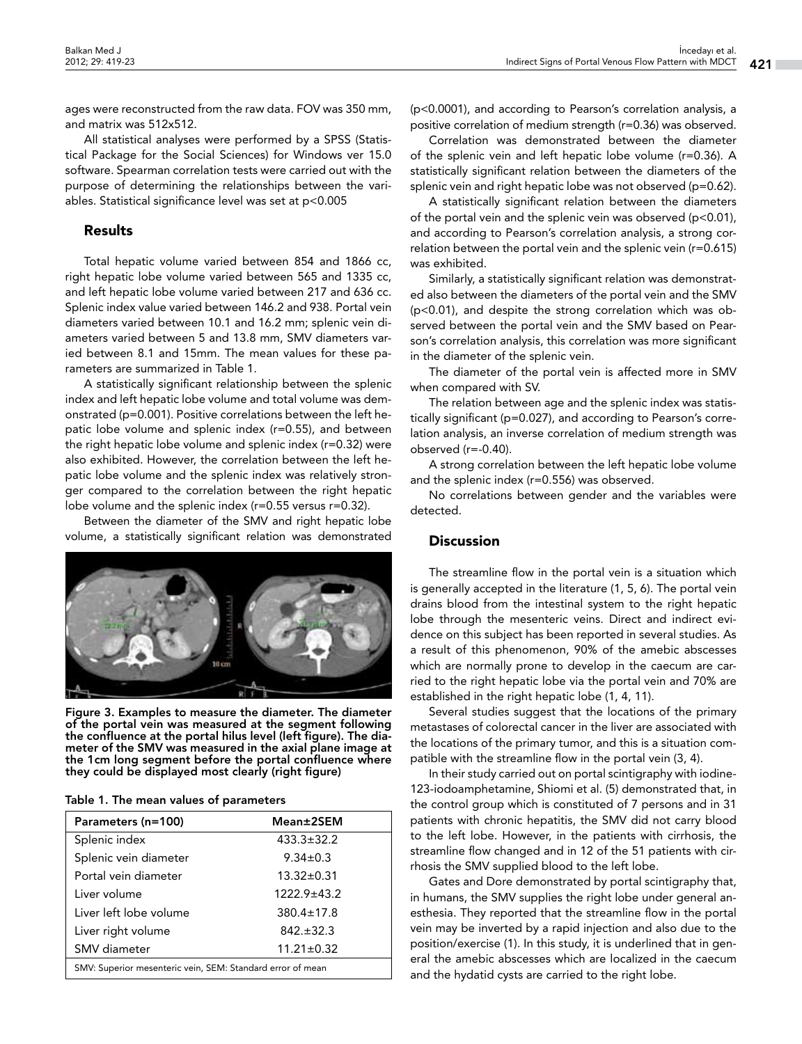ages were reconstructed from the raw data. FOV was 350 mm, and matrix was 512x512.

All statistical analyses were performed by a SPSS (Statistical Package for the Social Sciences) for Windows ver 15.0 software. Spearman correlation tests were carried out with the purpose of determining the relationships between the variables. Statistical significance level was set at p<0.005

#### Results

Total hepatic volume varied between 854 and 1866 cc, right hepatic lobe volume varied between 565 and 1335 cc, and left hepatic lobe volume varied between 217 and 636 cc. Splenic index value varied between 146.2 and 938. Portal vein diameters varied between 10.1 and 16.2 mm; splenic vein diameters varied between 5 and 13.8 mm, SMV diameters varied between 8.1 and 15mm. The mean values for these parameters are summarized in Table 1.

A statistically significant relationship between the splenic index and left hepatic lobe volume and total volume was demonstrated (p=0.001). Positive correlations between the left hepatic lobe volume and splenic index (r=0.55), and between the right hepatic lobe volume and splenic index (r=0.32) were also exhibited. However, the correlation between the left hepatic lobe volume and the splenic index was relatively stronger compared to the correlation between the right hepatic lobe volume and the splenic index (r=0.55 versus r=0.32).

Between the diameter of the SMV and right hepatic lobe volume, a statistically significant relation was demonstrated



Figure 3. Examples to measure the diameter. The diameter of the portal vein was measured at the segment following the confluence at the portal hilus level (left figure). The diameter of the SMV was measured in the axial plane image at the 1cm long segment before the portal confluence where they could be displayed most clearly (right figure)

|  |  |  | Table 1. The mean values of parameters |
|--|--|--|----------------------------------------|
|--|--|--|----------------------------------------|

| Parameters (n=100)                                         | Mean±2SEM         |  |  |
|------------------------------------------------------------|-------------------|--|--|
| Splenic index                                              | $433.3 \pm 32.2$  |  |  |
| Splenic vein diameter                                      | $9.34 \pm 0.3$    |  |  |
| Portal vein diameter                                       | $13.32 \pm 0.31$  |  |  |
| Liver volume                                               | $1222.9 \pm 43.2$ |  |  |
| Liver left lobe volume                                     | $380.4 \pm 17.8$  |  |  |
| Liver right volume                                         | $842. \pm 32.3$   |  |  |
| SMV diameter                                               | $11.21 \pm 0.32$  |  |  |
| SMV: Superior mesenteric vein, SEM: Standard error of mean |                   |  |  |

(p<0.0001), and according to Pearson's correlation analysis, a positive correlation of medium strength (r=0.36) was observed.

Correlation was demonstrated between the diameter of the splenic vein and left hepatic lobe volume (r=0.36). A statistically significant relation between the diameters of the splenic vein and right hepatic lobe was not observed (p=0.62).

A statistically significant relation between the diameters of the portal vein and the splenic vein was observed (p<0.01), and according to Pearson's correlation analysis, a strong correlation between the portal vein and the splenic vein (r=0.615) was exhibited.

Similarly, a statistically significant relation was demonstrated also between the diameters of the portal vein and the SMV (p<0.01), and despite the strong correlation which was observed between the portal vein and the SMV based on Pearson's correlation analysis, this correlation was more significant in the diameter of the splenic vein.

The diameter of the portal vein is affected more in SMV when compared with SV.

The relation between age and the splenic index was statistically significant (p=0.027), and according to Pearson's correlation analysis, an inverse correlation of medium strength was observed (r=-0.40).

A strong correlation between the left hepatic lobe volume and the splenic index (r=0.556) was observed.

No correlations between gender and the variables were detected.

## **Discussion**

The streamline flow in the portal vein is a situation which is generally accepted in the literature (1, 5, 6). The portal vein drains blood from the intestinal system to the right hepatic lobe through the mesenteric veins. Direct and indirect evidence on this subject has been reported in several studies. As a result of this phenomenon, 90% of the amebic abscesses which are normally prone to develop in the caecum are carried to the right hepatic lobe via the portal vein and 70% are established in the right hepatic lobe (1, 4, 11).

Several studies suggest that the locations of the primary metastases of colorectal cancer in the liver are associated with the locations of the primary tumor, and this is a situation compatible with the streamline flow in the portal vein (3, 4).

In their study carried out on portal scintigraphy with iodine-123-iodoamphetamine, Shiomi et al. (5) demonstrated that, in the control group which is constituted of 7 persons and in 31 patients with chronic hepatitis, the SMV did not carry blood to the left lobe. However, in the patients with cirrhosis, the streamline flow changed and in 12 of the 51 patients with cirrhosis the SMV supplied blood to the left lobe.

Gates and Dore demonstrated by portal scintigraphy that, in humans, the SMV supplies the right lobe under general anesthesia. They reported that the streamline flow in the portal vein may be inverted by a rapid injection and also due to the position/exercise (1). In this study, it is underlined that in general the amebic abscesses which are localized in the caecum and the hydatid cysts are carried to the right lobe.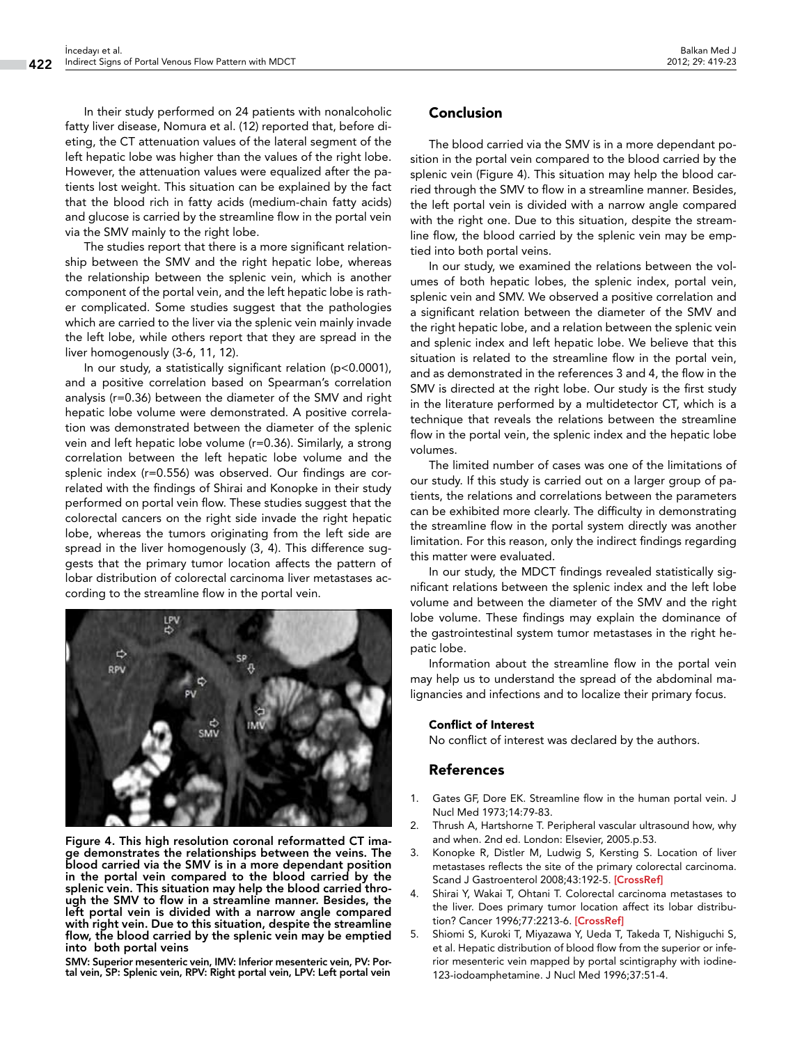In their study performed on 24 patients with nonalcoholic fatty liver disease, Nomura et al. (12) reported that, before dieting, the CT attenuation values of the lateral segment of the left hepatic lobe was higher than the values of the right lobe. However, the attenuation values were equalized after the patients lost weight. This situation can be explained by the fact that the blood rich in fatty acids (medium-chain fatty acids) and glucose is carried by the streamline flow in the portal vein via the SMV mainly to the right lobe.

The studies report that there is a more significant relationship between the SMV and the right hepatic lobe, whereas the relationship between the splenic vein, which is another component of the portal vein, and the left hepatic lobe is rather complicated. Some studies suggest that the pathologies which are carried to the liver via the splenic vein mainly invade the left lobe, while others report that they are spread in the liver homogenously (3-6, 11, 12).

In our study, a statistically significant relation (p<0.0001), and a positive correlation based on Spearman's correlation analysis (r=0.36) between the diameter of the SMV and right hepatic lobe volume were demonstrated. A positive correlation was demonstrated between the diameter of the splenic vein and left hepatic lobe volume (r=0.36). Similarly, a strong correlation between the left hepatic lobe volume and the splenic index (r=0.556) was observed. Our findings are correlated with the findings of Shirai and Konopke in their study performed on portal vein flow. These studies suggest that the colorectal cancers on the right side invade the right hepatic lobe, whereas the tumors originating from the left side are spread in the liver homogenously (3, 4). This difference suggests that the primary tumor location affects the pattern of lobar distribution of colorectal carcinoma liver metastases according to the streamline flow in the portal vein.



Figure 4. This high resolution coronal reformatted CT image demonstrates the relationships between the veins. The blood carried via the SMV is in a more dependant position in the portal vein compared to the blood carried by the splenic vein. This situation may help the blood carried thro- ugh the SMV to flow in a streamline manner. Besides, the left portal vein is divided with a narrow angle compared with right vein. Due to this situation, despite the streamline flow, the blood carried by the splenic vein may be emptied into both portal veins

SMV: Superior mesenteric vein, IMV: Inferior mesenteric vein, PV: Portal vein, SP: Splenic vein, RPV: Right portal vein, LPV: Left portal vein

# Conclusion

The blood carried via the SMV is in a more dependant position in the portal vein compared to the blood carried by the splenic vein (Figure 4). This situation may help the blood carried through the SMV to flow in a streamline manner. Besides, the left portal vein is divided with a narrow angle compared with the right one. Due to this situation, despite the streamline flow, the blood carried by the splenic vein may be emptied into both portal veins.

In our study, we examined the relations between the volumes of both hepatic lobes, the splenic index, portal vein, splenic vein and SMV. We observed a positive correlation and a significant relation between the diameter of the SMV and the right hepatic lobe, and a relation between the splenic vein and splenic index and left hepatic lobe. We believe that this situation is related to the streamline flow in the portal vein, and as demonstrated in the references 3 and 4, the flow in the SMV is directed at the right lobe. Our study is the first study in the literature performed by a multidetector CT, which is a technique that reveals the relations between the streamline flow in the portal vein, the splenic index and the hepatic lobe volumes.

The limited number of cases was one of the limitations of our study. If this study is carried out on a larger group of patients, the relations and correlations between the parameters can be exhibited more clearly. The difficulty in demonstrating the streamline flow in the portal system directly was another limitation. For this reason, only the indirect findings regarding this matter were evaluated.

In our study, the MDCT findings revealed statistically significant relations between the splenic index and the left lobe volume and between the diameter of the SMV and the right lobe volume. These findings may explain the dominance of the gastrointestinal system tumor metastases in the right hepatic lobe.

Information about the streamline flow in the portal vein may help us to understand the spread of the abdominal malignancies and infections and to localize their primary focus.

#### Conflict of Interest

No conflict of interest was declared by the authors.

# References

- 1. Gates GF, Dore EK. Streamline flow in the human portal vein. J Nucl Med 1973;14:79-83.
- 2. Thrush A, Hartshorne T. Peripheral vascular ultrasound how, why and when. 2nd ed. London: Elsevier, 2005.p.53.
- 3. Konopke R, Distler M, Ludwig S, Kersting S. Location of liver metastases reflects the site of the primary colorectal carcinoma. Scand J Gastroenterol 2008;43:192-5. [CrossRef]
- 4. Shirai Y, Wakai T, Ohtani T. Colorectal carcinoma metastases to the liver. Does primary tumor location affect its lobar distribution? Cancer 1996;77:2213-6. [\[CrossRef](http://dx.doi.org/10.1002/(SICI)1097-0142(19960601)77:11<2213::AID-CNCR5>3.3.CO;2-W)]
- 5. Shiomi S, Kuroki T, Miyazawa Y, Ueda T, Takeda T, Nishiguchi S, et al. Hepatic distribution of blood flow from the superior or inferior mesenteric vein mapped by portal scintigraphy with iodine-123-iodoamphetamine. J Nucl Med 1996;37:51-4.